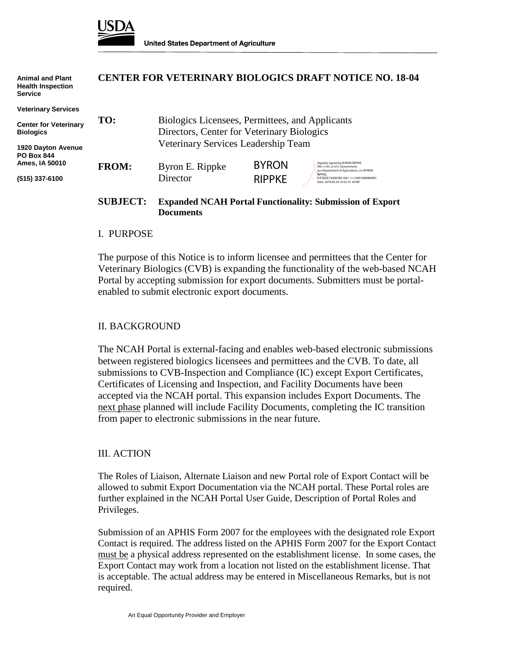

| <b>Animal and Plant</b><br><b>Health Inspection</b><br><b>Service</b> | <b>CENTER FOR VETERINARY BIOLOGICS DRAFT NOTICE NO. 18-04</b> |                                                                                               |               |                                                                                                            |
|-----------------------------------------------------------------------|---------------------------------------------------------------|-----------------------------------------------------------------------------------------------|---------------|------------------------------------------------------------------------------------------------------------|
| <b>Veterinary Services</b>                                            |                                                               |                                                                                               |               |                                                                                                            |
| <b>Center for Veterinary</b><br><b>Biologics</b>                      | TO:                                                           | Biologics Licensees, Permittees, and Applicants<br>Directors, Center for Veterinary Biologics |               |                                                                                                            |
| 1920 Dayton Avenue<br><b>PO Box 844</b>                               | Veterinary Services Leadership Team                           |                                                                                               |               |                                                                                                            |
| Ames, IA 50010                                                        | <b>FROM:</b>                                                  | Byron E. Rippke                                                                               | <b>BYRON</b>  | Digitally signed by BYRON RIPPKE<br>DN: c=US, o=U.S. Government.<br>ou=Department of Agriculture, cn=BYRON |
| (515) 337-6100                                                        |                                                               | Director                                                                                      | <b>RIPPKE</b> | <b>RIPPKE</b><br>0.9.2342.19200300.100.1.1=12001000004093<br>Date: 2018.03.29 10:52:16 -05'00'             |

# **SUBJECT: Expanded NCAH Portal Functionality: Submission of Export Documents**

### I. PURPOSE

The purpose of this Notice is to inform licensee and permittees that the Center for Veterinary Biologics (CVB) is expanding the functionality of the web-based NCAH Portal by accepting submission for export documents. Submitters must be portalenabled to submit electronic export documents.

### II. BACKGROUND

The NCAH Portal is external-facing and enables web-based electronic submissions between registered biologics licensees and permittees and the CVB. To date, all submissions to CVB-Inspection and Compliance (IC) except Export Certificates, Certificates of Licensing and Inspection, and Facility Documents have been accepted via the NCAH portal. This expansion includes Export Documents. The next phase planned will include Facility Documents, completing the IC transition from paper to electronic submissions in the near future.

#### III. ACTION

The Roles of Liaison, Alternate Liaison and new Portal role of Export Contact will be allowed to submit Export Documentation via the NCAH portal. These Portal roles are further explained in the NCAH Portal User Guide, Description of Portal Roles and Privileges.

Submission of an APHIS Form 2007 for the employees with the designated role Export Contact is required. The address listed on the APHIS Form 2007 for the Export Contact must be a physical address represented on the establishment license. In some cases, the Export Contact may work from a location not listed on the establishment license. That is acceptable. The actual address may be entered in Miscellaneous Remarks, but is not required.